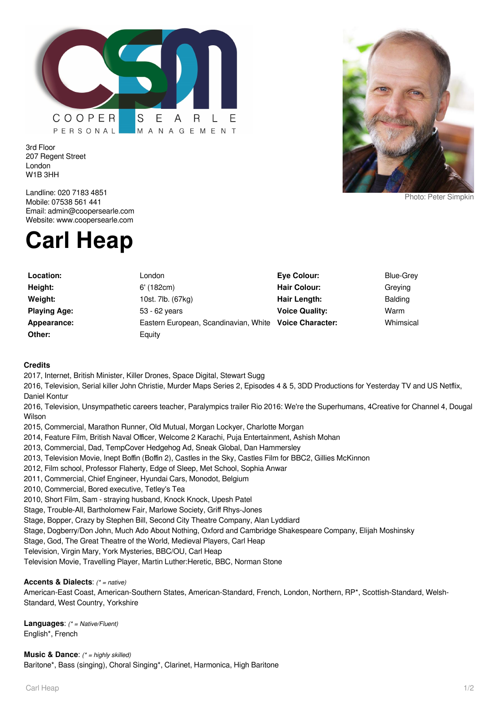

3rd Floor 207 Regent Street London W1B 3HH



Photo: Peter Simpkin

Landline: 020 7183 4851 Mobile: 07538 561 441 Email: admin@coopersearle.com Website: www.coopersearle.com

# **Carl Heap**

| Location:           | London                                                 | Eye Colour:           | Blue-Grey      |
|---------------------|--------------------------------------------------------|-----------------------|----------------|
| Height:             | $6'$ (182 $cm$ )                                       | <b>Hair Colour:</b>   | Greving        |
| Weight:             | 10st. 7lb. (67kg)                                      | Hair Length:          | <b>Balding</b> |
| <b>Playing Age:</b> | 53 - 62 years                                          | <b>Voice Quality:</b> | Warm           |
| Appearance:         | Eastern European, Scandinavian, White Voice Character: |                       | Whimsical      |
| Other:              | Equity                                                 |                       |                |

## **Credits**

2017, Internet, British Minister, Killer Drones, Space Digital, Stewart Sugg

2016, Television, Serial killer John Christie, Murder Maps Series 2, Episodes 4 & 5, 3DD Productions for Yesterday TV and US Netflix, Daniel Kontur

2016, Television, Unsympathetic careers teacher, Paralympics trailer Rio 2016: We're the Superhumans, 4Creative for Channel 4, Dougal Wilson

- 2015, Commercial, Marathon Runner, Old Mutual, Morgan Lockyer, Charlotte Morgan
- 2014, Feature Film, British Naval Officer, Welcome 2 Karachi, Puja Entertainment, Ashish Mohan
- 2013, Commercial, Dad, TempCover Hedgehog Ad, Sneak Global, Dan Hammersley
- 2013, Television Movie, Inept Boffin (Boffin 2), Castles in the Sky, Castles Film for BBC2, Gillies McKinnon
- 2012, Film school, Professor Flaherty, Edge of Sleep, Met School, Sophia Anwar
- 2011, Commercial, Chief Engineer, Hyundai Cars, Monodot, Belgium
- 2010, Commercial, Bored executive, Tetley's Tea
- 2010, Short Film, Sam straying husband, Knock Knock, Upesh Patel
- Stage, Trouble-All, Bartholomew Fair, Marlowe Society, Griff Rhys-Jones
- Stage, Bopper, Crazy by Stephen Bill, Second City Theatre Company, Alan Lyddiard
- Stage, Dogberry/Don John, Much Ado About Nothing, Oxford and Cambridge Shakespeare Company, Elijah Moshinsky
- Stage, God, The Great Theatre of the World, Medieval Players, Carl Heap
- Television, Virgin Mary, York Mysteries, BBC/OU, Carl Heap
- Television Movie, Travelling Player, Martin Luther:Heretic, BBC, Norman Stone

#### **Accents & Dialects**: (\* = native)

American-East Coast, American-Southern States, American-Standard, French, London, Northern, RP\*, Scottish-Standard, Welsh-Standard, West Country, Yorkshire

**Languages**: (\* = Native/Fluent) English\*, French

**Music & Dance:** (\* = highly skilled) Baritone\*, Bass (singing), Choral Singing\*, Clarinet, Harmonica, High Baritone